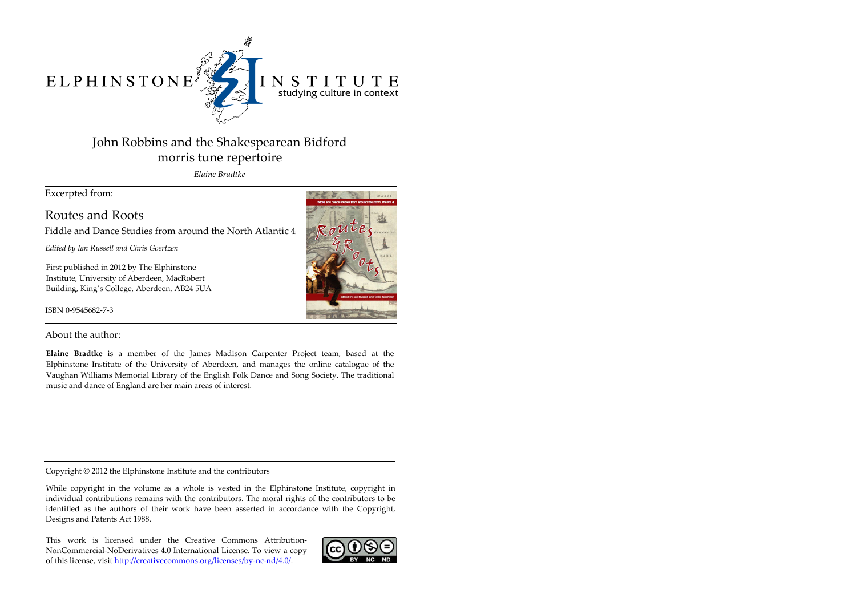ELPHINSTONE



## INSTITUTE studying culture in context

# John Robbins and the Shakespearean Bidford morris tune repertoire

*Elaine Bradtke*

Excerpted from:

Routes and Roots

Fiddle and Dance Studies from around the North Atlantic 4

*Edited by Ian Russell and Chris Goertzen*

First published in 2012 by The Elphinstone Institute, University of Aberdeen, MacRobert Building, King's College, Aberdeen, AB24 5UA

ISBN 0-9545682-7-3



About the author:

**Elaine Bradtke** is a member of the James Madison Carpenter Project team, based at the Elphinstone Institute of the University of Aberdeen, and manages the online catalogue of the Vaughan Williams Memorial Library of the English Folk Dance and Song Society. The traditional music and dance of England are her main areas of interest.

Copyright © 2012 the Elphinstone Institute and the contributors

While copyright in the volume as a whole is vested in the Elphinstone Institute, copyright in individual contributions remains with the contributors. The moral rights of the contributors to be identified as the authors of their work have been asserted in accordance with the Copyright, Designs and Patents Act 1988.

This work is licensed under the Creative Commons Attribution-NonCommercial-NoDerivatives 4.0 International License. To view a copy of this license, visit http://creativecommons.org/licenses/by-nc-nd/4.0/.

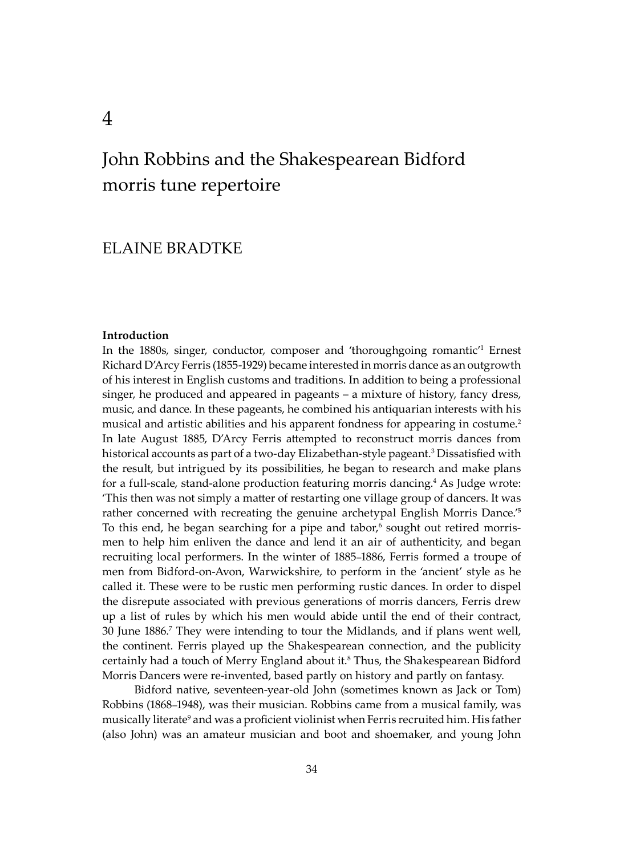## ELAINE BRADTKE

#### **Introduction**

In the 1880s, singer, conductor, composer and 'thoroughgoing romantic'1 Ernest Richard D'Arcy Ferris (1855-1929) became interested in morris dance as an outgrowth of his interest in English customs and traditions. In addition to being a professional singer, he produced and appeared in pageants – a mixture of history, fancy dress, music, and dance. In these pageants, he combined his antiquarian interests with his musical and artistic abilities and his apparent fondness for appearing in costume.2 In late August 1885, D'Arcy Ferris a�empted to reconstruct morris dances from historical accounts as part of a two-day Elizabethan-style pageant.3 Dissatisfied with the result, but intrigued by its possibilities, he began to research and make plans for a full-scale, stand-alone production featuring morris dancing.<sup>4</sup> As Judge wrote: 'This then was not simply a ma�er of restarting one village group of dancers. It was rather concerned with recreating the genuine archetypal English Morris Dance.'**<sup>5</sup>** To this end, he began searching for a pipe and tabor, $6$  sought out retired morrismen to help him enliven the dance and lend it an air of authenticity, and began recruiting local performers. In the winter of 1885–1886, Ferris formed a troupe of men from Bidford-on-Avon, Warwickshire, to perform in the 'ancient' style as he called it. These were to be rustic men performing rustic dances. In order to dispel the disrepute associated with previous generations of morris dancers, Ferris drew up a list of rules by which his men would abide until the end of their contract, 30 June 1886.7 They were intending to tour the Midlands, and if plans went well, the continent. Ferris played up the Shakespearean connection, and the publicity certainly had a touch of Merry England about it.<sup>8</sup> Thus, the Shakespearean Bidford Morris Dancers were re-invented, based partly on history and partly on fantasy.

Bidford native, seventeen-year-old John (sometimes known as Jack or Tom) Robbins (1868–1948), was their musician. Robbins came from a musical family, was musically literate<sup>9</sup> and was a proficient violinist when Ferris recruited him. His father (also John) was an amateur musician and boot and shoemaker, and young John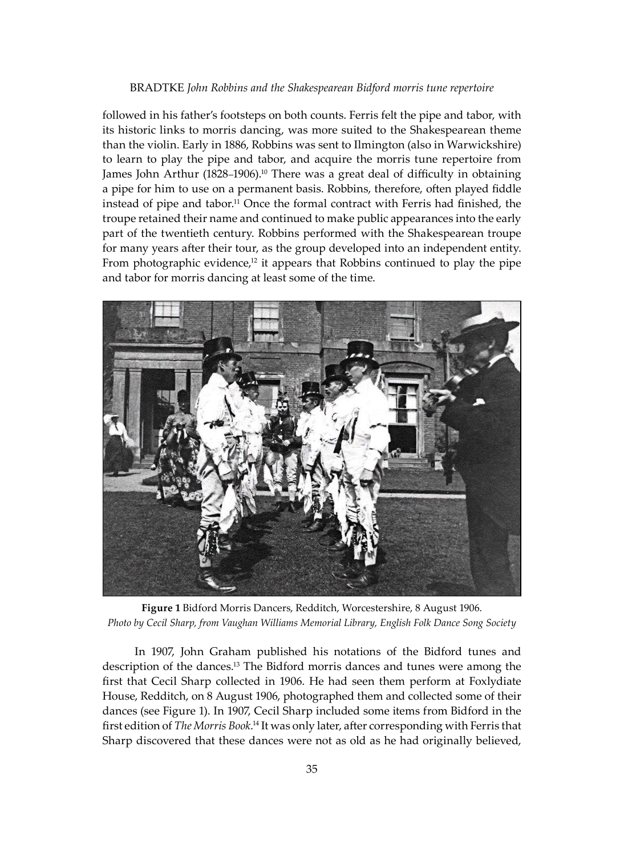followed in his father's footsteps on both counts. Ferris felt the pipe and tabor, with its historic links to morris dancing, was more suited to the Shakespearean theme than the violin. Early in 1886, Robbins was sent to Ilmington (also in Warwickshire) to learn to play the pipe and tabor, and acquire the morris tune repertoire from James John Arthur  $(1828-1906).$ <sup>10</sup> There was a great deal of difficulty in obtaining a pipe for him to use on a permanent basis. Robbins, therefore, o�en played fiddle instead of pipe and tabor.<sup>11</sup> Once the formal contract with Ferris had finished, the troupe retained their name and continued to make public appearances into the early part of the twentieth century. Robbins performed with the Shakespearean troupe for many years after their tour, as the group developed into an independent entity. From photographic evidence, $12$  it appears that Robbins continued to play the pipe and tabor for morris dancing at least some of the time.



**Figure 1** Bidford Morris Dancers, Redditch, Worcestershire, 8 August 1906. *Photo by Cecil Sharp, from Vaughan Williams Memorial Library, English Folk Dance Song Society*

In 1907, John Graham published his notations of the Bidford tunes and description of the dances.13 The Bidford morris dances and tunes were among the first that Cecil Sharp collected in 1906. He had seen them perform at Foxlydiate House, Redditch, on 8 August 1906, photographed them and collected some of their dances (see Figure 1). In 1907, Cecil Sharp included some items from Bidford in the first edition of *The Morris Book*.<sup>14</sup> It was only later, after corresponding with Ferris that Sharp discovered that these dances were not as old as he had originally believed,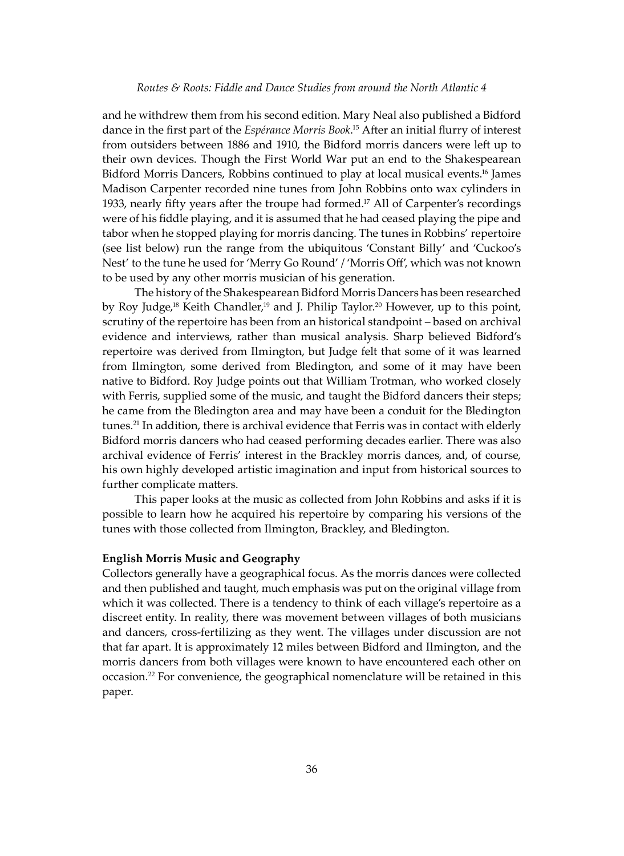and he withdrew them from his second edition. Mary Neal also published a Bidford dance in the first part of the *Espérance Morris Book*. 15 A�er an initial flurry of interest from outsiders between 1886 and 1910, the Bidford morris dancers were left up to their own devices. Though the First World War put an end to the Shakespearean Bidford Morris Dancers, Robbins continued to play at local musical events.16 James Madison Carpenter recorded nine tunes from John Robbins onto wax cylinders in 1933, nearly fifty years after the troupe had formed.<sup>17</sup> All of Carpenter's recordings were of his fiddle playing, and it is assumed that he had ceased playing the pipe and tabor when he stopped playing for morris dancing. The tunes in Robbins' repertoire (see list below) run the range from the ubiquitous 'Constant Billy' and 'Cuckoo's Nest' to the tune he used for 'Merry Go Round' / 'Morris Off', which was not known to be used by any other morris musician of his generation.

The history of the Shakespearean Bidford Morris Dancers has been researched by Roy Judge,<sup>18</sup> Keith Chandler,<sup>19</sup> and J. Philip Taylor.<sup>20</sup> However, up to this point, scrutiny of the repertoire has been from an historical standpoint – based on archival evidence and interviews, rather than musical analysis. Sharp believed Bidford's repertoire was derived from Ilmington, but Judge felt that some of it was learned from Ilmington, some derived from Bledington, and some of it may have been native to Bidford. Roy Judge points out that William Trotman, who worked closely with Ferris, supplied some of the music, and taught the Bidford dancers their steps; he came from the Bledington area and may have been a conduit for the Bledington tunes.<sup>21</sup> In addition, there is archival evidence that Ferris was in contact with elderly Bidford morris dancers who had ceased performing decades earlier. There was also archival evidence of Ferris' interest in the Brackley morris dances, and, of course, his own highly developed artistic imagination and input from historical sources to further complicate matters.

This paper looks at the music as collected from John Robbins and asks if it is possible to learn how he acquired his repertoire by comparing his versions of the tunes with those collected from Ilmington, Brackley, and Bledington.

## **English Morris Music and Geography**

Collectors generally have a geographical focus. As the morris dances were collected and then published and taught, much emphasis was put on the original village from which it was collected. There is a tendency to think of each village's repertoire as a discreet entity. In reality, there was movement between villages of both musicians and dancers, cross-fertilizing as they went. The villages under discussion are not that far apart. It is approximately 12 miles between Bidford and Ilmington, and the morris dancers from both villages were known to have encountered each other on occasion.22 For convenience, the geographical nomenclature will be retained in this paper.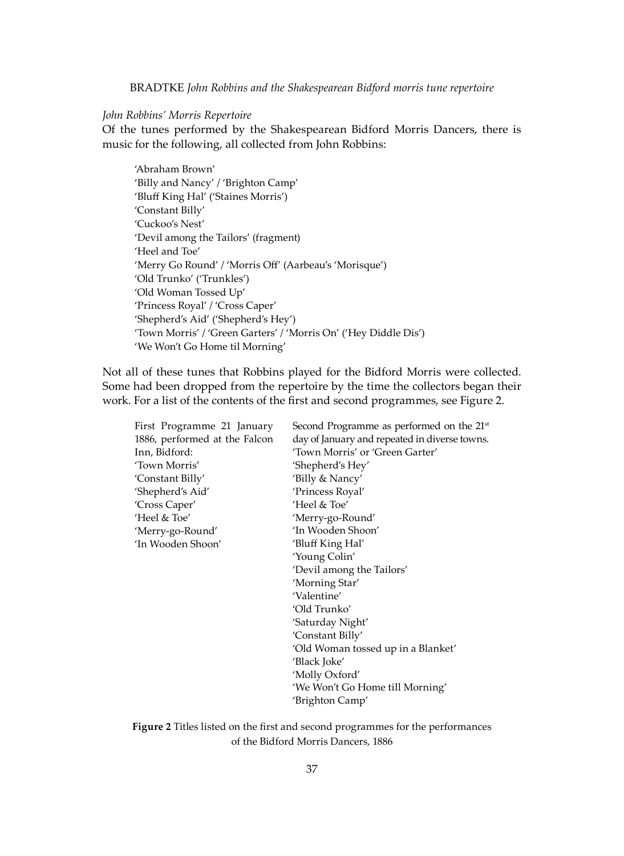## *John Robbins' Morris Repertoire*

Of the tunes performed by the Shakespearean Bidford Morris Dancers, there is music for the following, all collected from John Robbins:

'Abraham Brown' 'Billy and Nancy' / 'Brighton Camp' 'Bluff King Hal' ('Staines Morris') 'Constant Billy' 'Cuckoo's Nest' 'Devil among the Tailors' (fragment) 'Heel and Toe' 'Merry Go Round' / 'Morris Off' (Aarbeau's 'Morisque') 'Old Trunko' ('Trunkles') 'Old Woman Tossed Up' 'Princess Royal' / 'Cross Caper' 'Shepherd's Aid' ('Shepherd's Hey') 'Town Morris' / 'Green Garters' / 'Morris On' ('Hey Diddle Dis') 'We Won't Go Home til Morning'

Not all of these tunes that Robbins played for the Bidford Morris were collected. Some had been dropped from the repertoire by the time the collectors began their work. For a list of the contents of the first and second programmes, see Figure 2.

| First Programme 21 January    | Second Programme as performed on the 21 <sup>st</sup> |
|-------------------------------|-------------------------------------------------------|
| 1886, performed at the Falcon | day of January and repeated in diverse towns.         |
| Inn, Bidford:                 | 'Town Morris' or 'Green Garter'                       |
| 'Town Morris'                 | 'Shepherd's Hey'                                      |
| 'Constant Billy'              | 'Billy & Nancy'                                       |
| 'Shepherd's Aid'              | 'Princess Royal'                                      |
| 'Cross Caper'                 | 'Heel & Toe'                                          |
| 'Heel & Toe'                  | 'Merry-go-Round'                                      |
| 'Merry-go-Round'              | 'In Wooden Shoon'                                     |
| ʻIn Wooden Shoon'             | 'Bluff King Hal'                                      |
|                               | 'Young Colin'                                         |
|                               | 'Devil among the Tailors'                             |
|                               | 'Morning Star'                                        |
|                               | 'Valentine'                                           |
|                               | 'Old Trunko'                                          |
|                               | 'Saturday Night'                                      |
|                               | 'Constant Billy'                                      |
|                               | 'Old Woman tossed up in a Blanket'                    |
|                               | 'Black Joke'                                          |
|                               | 'Molly Oxford'                                        |
|                               | 'We Won't Go Home till Morning'                       |
|                               | 'Brighton Camp'                                       |
|                               |                                                       |

**Figure 2** Titles listed on the first and second programmes for the performances of the Bidford Morris Dancers, 1886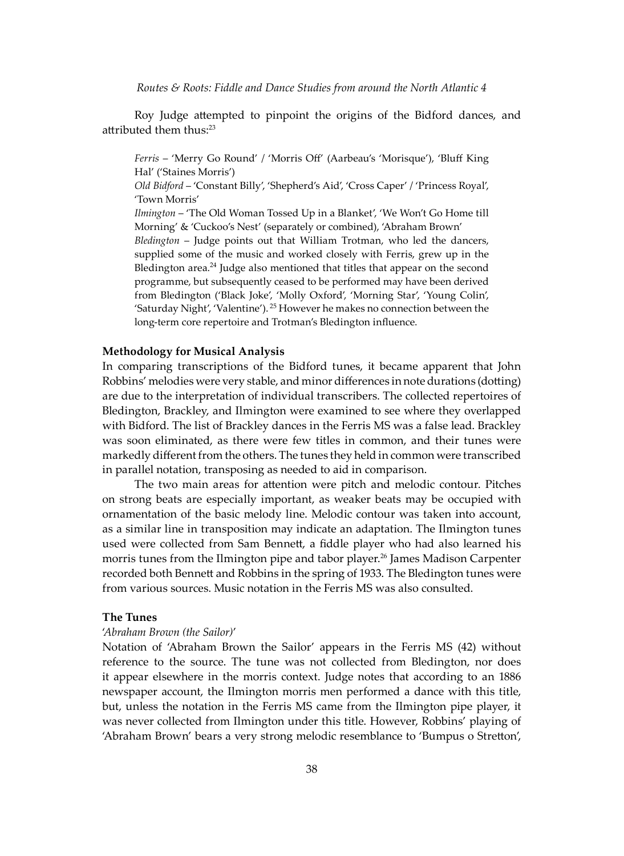Roy Judge attempted to pinpoint the origins of the Bidford dances, and attributed them thus: $23$ 

*Ferris* – 'Merry Go Round' / 'Morris Off' (Aarbeau's 'Morisque'), 'Bluff King Hal' ('Staines Morris')

*Old Bidford* – 'Constant Billy', 'Shepherd's Aid', 'Cross Caper' / 'Princess Royal', 'Town Morris'

*Ilmington* – 'The Old Woman Tossed Up in a Blanket', 'We Won't Go Home till Morning' & 'Cuckoo's Nest' (separately or combined), 'Abraham Brown' *Bledington* – Judge points out that William Trotman, who led the dancers, supplied some of the music and worked closely with Ferris, grew up in the Bledington area. $^{24}$  Judge also mentioned that titles that appear on the second programme, but subsequently ceased to be performed may have been derived from Bledington ('Black Joke', 'Molly Oxford', 'Morning Star', 'Young Colin', 'Saturday Night', 'Valentine'). 25 However he makes no connection between the long-term core repertoire and Trotman's Bledington influence.

#### **Methodology for Musical Analysis**

In comparing transcriptions of the Bidford tunes, it became apparent that John Robbins' melodies were very stable, and minor differences in note durations (dotting) are due to the interpretation of individual transcribers. The collected repertoires of Bledington, Brackley, and Ilmington were examined to see where they overlapped with Bidford. The list of Brackley dances in the Ferris MS was a false lead. Brackley was soon eliminated, as there were few titles in common, and their tunes were markedly different from the others. The tunes they held in common were transcribed in parallel notation, transposing as needed to aid in comparison.

The two main areas for attention were pitch and melodic contour. Pitches on strong beats are especially important, as weaker beats may be occupied with ornamentation of the basic melody line. Melodic contour was taken into account, as a similar line in transposition may indicate an adaptation. The Ilmington tunes used were collected from Sam Bennett, a fiddle player who had also learned his morris tunes from the Ilmington pipe and tabor player.<sup>26</sup> James Madison Carpenter recorded both Bennett and Robbins in the spring of 1933. The Bledington tunes were from various sources. Music notation in the Ferris MS was also consulted.

#### **The Tunes**

#### '*Abraham Brown (the Sailor)*'

Notation of 'Abraham Brown the Sailor' appears in the Ferris MS (42) without reference to the source. The tune was not collected from Bledington, nor does it appear elsewhere in the morris context. Judge notes that according to an 1886 newspaper account, the Ilmington morris men performed a dance with this title, but, unless the notation in the Ferris MS came from the Ilmington pipe player, it was never collected from Ilmington under this title. However, Robbins' playing of 'Abraham Brown' bears a very strong melodic resemblance to 'Bumpus o Stretton',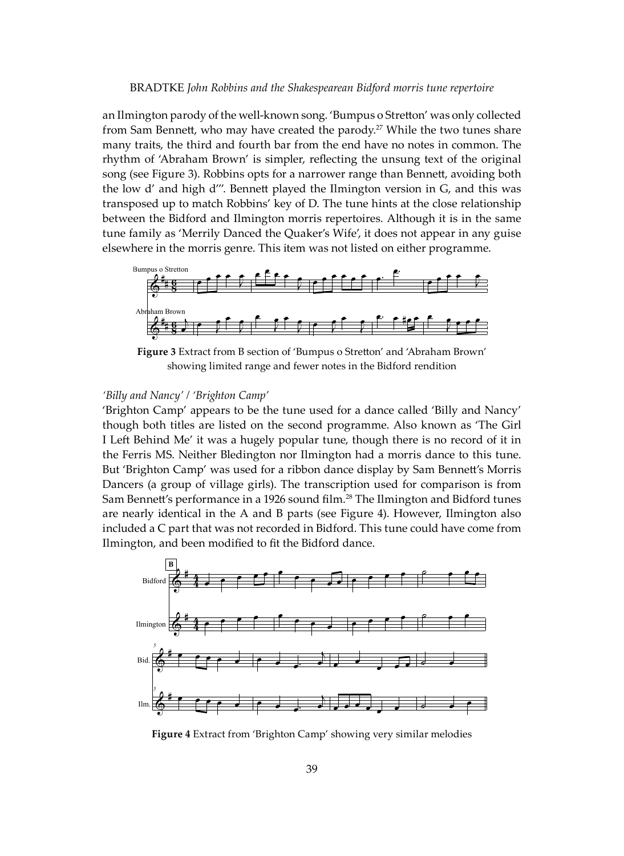an Ilmington parody of the well-known song. 'Bumpus o Stretton' was only collected from Sam Bennett, who may have created the parody.<sup>27</sup> While the two tunes share many traits, the third and fourth bar from the end have no notes in common. The rhythm of 'Abraham Brown' is simpler, reflecting the unsung text of the original song (see Figure 3). Robbins opts for a narrower range than Bennett, avoiding both the low d' and high d'''. Bennett played the Ilmington version in G, and this was transposed up to match Robbins' key of D. The tune hints at the close relationship between the Bidford and Ilmington morris repertoires. Although it is in the same tune family as 'Merrily Danced the Quaker's Wife', it does not appear in any guise elsewhere in the morris genre. This item was not listed on either programme.



**Figure 3** Extract from B section of 'Bumpus o Stretton' and 'Abraham Brown' showing limited range and fewer notes in the Bidford rendition

## *'Billy and Nancy' / 'Brighton Camp'*

'Brighton Camp' appears to be the tune used for a dance called 'Billy and Nancy' though both titles are listed on the second programme. Also known as 'The Girl I Left Behind Me' it was a hugely popular tune, though there is no record of it in the Ferris MS. Neither Bledington nor Ilmington had a morris dance to this tune. But 'Brighton Camp' was used for a ribbon dance display by Sam Bennett's Morris Dancers (a group of village girls). The transcription used for comparison is from Sam Bennett's performance in a 1926 sound film.<sup>28</sup> The Ilmington and Bidford tunes are nearly identical in the A and B parts (see Figure 4). However, Ilmington also included a C part that was not recorded in Bidford. This tune could have come from Ilmington, and been modified to fit the Bidford dance.



**Figure 4** Extract from 'Brighton Camp' showing very similar melodies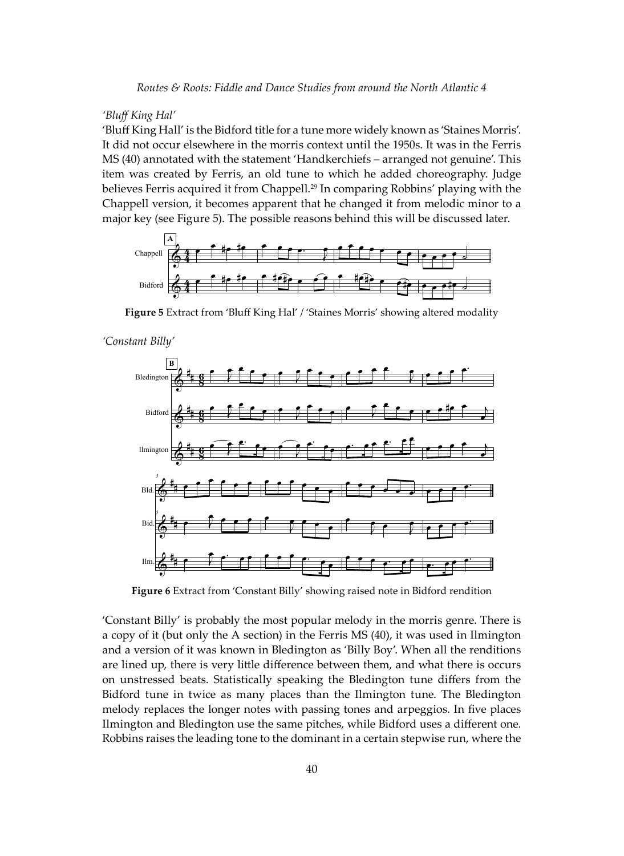*Routes & Roots: Fiddle and Dance Studies from around the North Atlantic 4*

## *'Bluff King Hal'*

'Bluff King Hall' is the Bidford title for a tune more widely known as 'Staines Morris'. It did not occur elsewhere in the morris context until the 1950s. It was in the Ferris MS (40) annotated with the statement 'Handkerchiefs – arranged not genuine'. This item was created by Ferris, an old tune to which he added choreography. Judge believes Ferris acquired it from Chappell.29 In comparing Robbins' playing with the Chappell version, it becomes apparent that he changed it from melodic minor to a major key (see Figure 5). The possible reasons behind this will be discussed later.



**Figure 5** Extract from 'Bluff King Hal' / 'Staines Morris' showing altered modality

*<sup>&#</sup>x27;Constant Billy'*



**Figure 6** Extract from 'Constant Billy' showing raised note in Bidford rendition

'Constant Billy' is probably the most popular melody in the morris genre. There is a copy of it (but only the A section) in the Ferris MS (40), it was used in Ilmington and a version of it was known in Bledington as 'Billy Boy'. When all the renditions are lined up, there is very little difference between them, and what there is occurs on unstressed beats. Statistically speaking the Bledington tune differs from the Bidford tune in twice as many places than the Ilmington tune. The Bledington melody replaces the longer notes with passing tones and arpeggios. In five places Ilmington and Bledington use the same pitches, while Bidford uses a different one. Robbins raises the leading tone to the dominant in a certain stepwise run, where the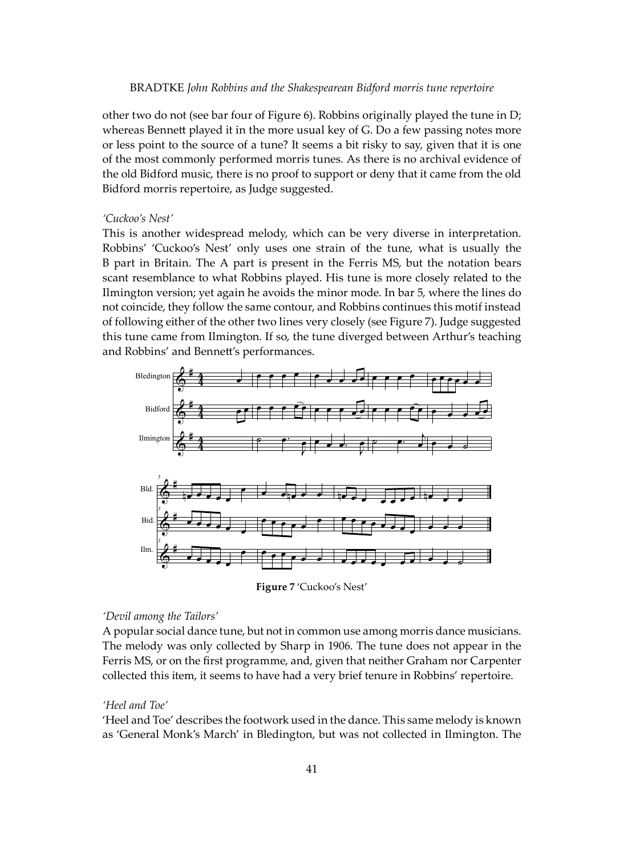other two do not (see bar four of Figure 6). Robbins originally played the tune in D; whereas Bennett played it in the more usual key of G. Do a few passing notes more or less point to the source of a tune? It seems a bit risky to say, given that it is one of the most commonly performed morris tunes. As there is no archival evidence of the old Bidford music, there is no proof to support or deny that it came from the old Bidford morris repertoire, as Judge suggested.

## *'Cuckoo's Nest'*

This is another widespread melody, which can be very diverse in interpretation. Robbins' 'Cuckoo's Nest' only uses one strain of the tune, what is usually the B part in Britain. The A part is present in the Ferris MS, but the notation bears scant resemblance to what Robbins played. His tune is more closely related to the Ilmington version; yet again he avoids the minor mode. In bar 5, where the lines do not coincide, they follow the same contour, and Robbins continues this motif instead of following either of the other two lines very closely (see Figure 7). Judge suggested this tune came from Ilmington. If so, the tune diverged between Arthur's teaching and Robbins' and Benne�'s performances.



**Figure 7** 'Cuckoo's Nest'

## *'Devil among the Tailors'*

A popular social dance tune, but not in common use among morris dance musicians. The melody was only collected by Sharp in 1906. The tune does not appear in the Ferris MS, or on the first programme, and, given that neither Graham nor Carpenter collected this item, it seems to have had a very brief tenure in Robbins' repertoire.

## *'Heel and Toe'*

'Heel and Toe' describes the footwork used in the dance. This same melody is known as 'General Monk's March' in Bledington, but was not collected in Ilmington. The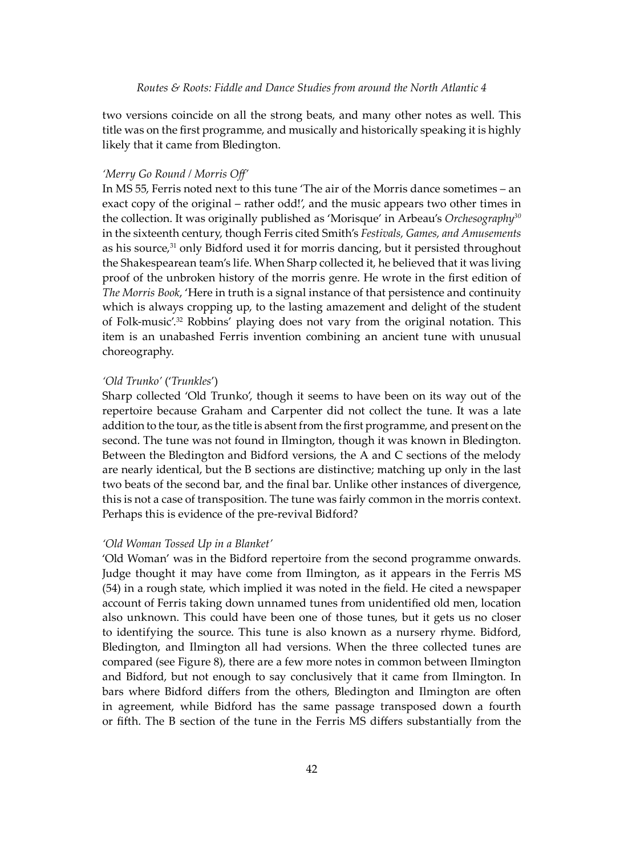two versions coincide on all the strong beats, and many other notes as well. This title was on the first programme, and musically and historically speaking it is highly likely that it came from Bledington.

## *'Merry Go Round / Morris Off'*

In MS 55, Ferris noted next to this tune 'The air of the Morris dance sometimes – an exact copy of the original – rather odd!', and the music appears two other times in the collection. It was originally published as 'Morisque' in Arbeau's *Orchesography30* in the sixteenth century, though Ferris cited Smith's *Festivals, Games, and Amusements* as his source,<sup>31</sup> only Bidford used it for morris dancing, but it persisted throughout the Shakespearean team's life. When Sharp collected it, he believed that it was living proof of the unbroken history of the morris genre. He wrote in the first edition of *The Morris Book*, 'Here in truth is a signal instance of that persistence and continuity which is always cropping up, to the lasting amazement and delight of the student of Folk-music'.32 Robbins' playing does not vary from the original notation. This item is an unabashed Ferris invention combining an ancient tune with unusual choreography.

## *'Old Trunko'* ('*Trunkles*')

Sharp collected 'Old Trunko', though it seems to have been on its way out of the repertoire because Graham and Carpenter did not collect the tune. It was a late addition to the tour, as the title is absent from the first programme, and present on the second. The tune was not found in Ilmington, though it was known in Bledington. Between the Bledington and Bidford versions, the A and C sections of the melody are nearly identical, but the B sections are distinctive; matching up only in the last two beats of the second bar, and the final bar. Unlike other instances of divergence, this is not a case of transposition. The tune was fairly common in the morris context. Perhaps this is evidence of the pre-revival Bidford?

## *'Old Woman Tossed Up in a Blanket'*

'Old Woman' was in the Bidford repertoire from the second programme onwards. Judge thought it may have come from Ilmington, as it appears in the Ferris MS (54) in a rough state, which implied it was noted in the field. He cited a newspaper account of Ferris taking down unnamed tunes from unidentified old men, location also unknown. This could have been one of those tunes, but it gets us no closer to identifying the source. This tune is also known as a nursery rhyme. Bidford, Bledington, and Ilmington all had versions. When the three collected tunes are compared (see Figure 8), there are a few more notes in common between Ilmington and Bidford, but not enough to say conclusively that it came from Ilmington. In bars where Bidford differs from the others, Bledington and Ilmington are o�en in agreement, while Bidford has the same passage transposed down a fourth or fi�h. The B section of the tune in the Ferris MS differs substantially from the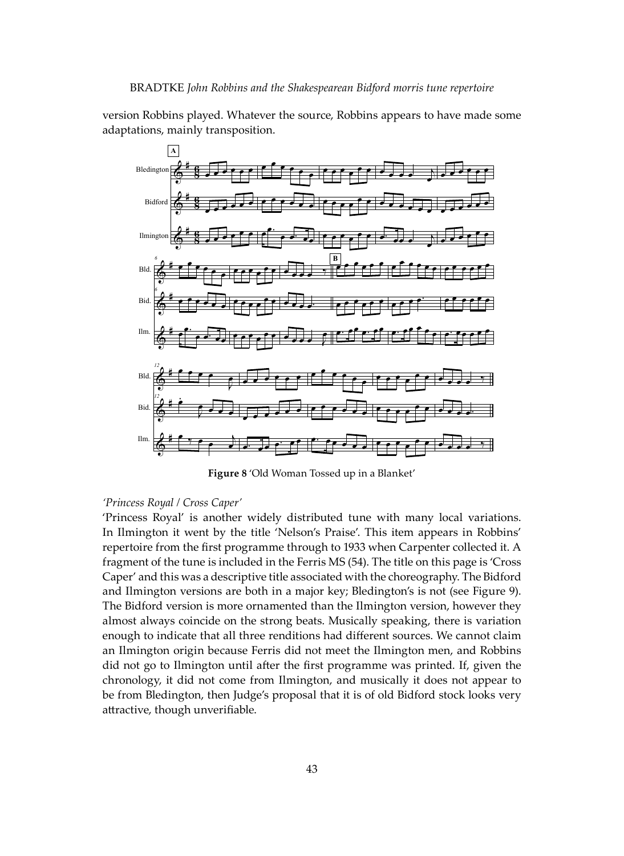version Robbins played. Whatever the source, Robbins appears to have made some adaptations, mainly transposition.



**Figure 8** 'Old Woman Tossed up in a Blanket'

## *'Princess Royal / Cross Caper'*

'Princess Royal' is another widely distributed tune with many local variations. In Ilmington it went by the title 'Nelson's Praise'. This item appears in Robbins' repertoire from the first programme through to 1933 when Carpenter collected it. A fragment of the tune is included in the Ferris MS (54). The title on this page is 'Cross Caper' and this was a descriptive title associated with the choreography. The Bidford and Ilmington versions are both in a major key; Bledington's is not (see Figure 9). The Bidford version is more ornamented than the Ilmington version, however they almost always coincide on the strong beats. Musically speaking, there is variation enough to indicate that all three renditions had different sources. We cannot claim an Ilmington origin because Ferris did not meet the Ilmington men, and Robbins did not go to Ilmington until a�er the first programme was printed. If, given the chronology, it did not come from Ilmington, and musically it does not appear to be from Bledington, then Judge's proposal that it is of old Bidford stock looks very attractive, though unverifiable.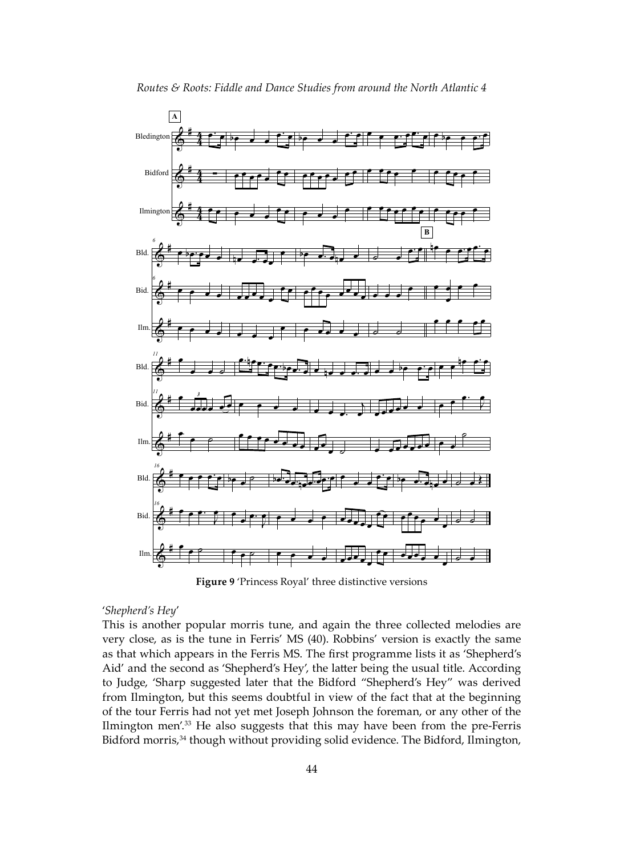

**Figure 9** 'Princess Royal' three distinctive versions

#### '*Shepherd's Hey*'

This is another popular morris tune, and again the three collected melodies are very close, as is the tune in Ferris' MS (40). Robbins' version is exactly the same as that which appears in the Ferris MS. The first programme lists it as 'Shepherd's Aid' and the second as 'Shepherd's Hey', the latter being the usual title. According to Judge, 'Sharp suggested later that the Bidford "Shepherd's Hey" was derived from Ilmington, but this seems doubtful in view of the fact that at the beginning of the tour Ferris had not yet met Joseph Johnson the foreman, or any other of the Ilmington men'.33 He also suggests that this may have been from the pre-Ferris Bidford morris,<sup>34</sup> though without providing solid evidence. The Bidford, Ilmington,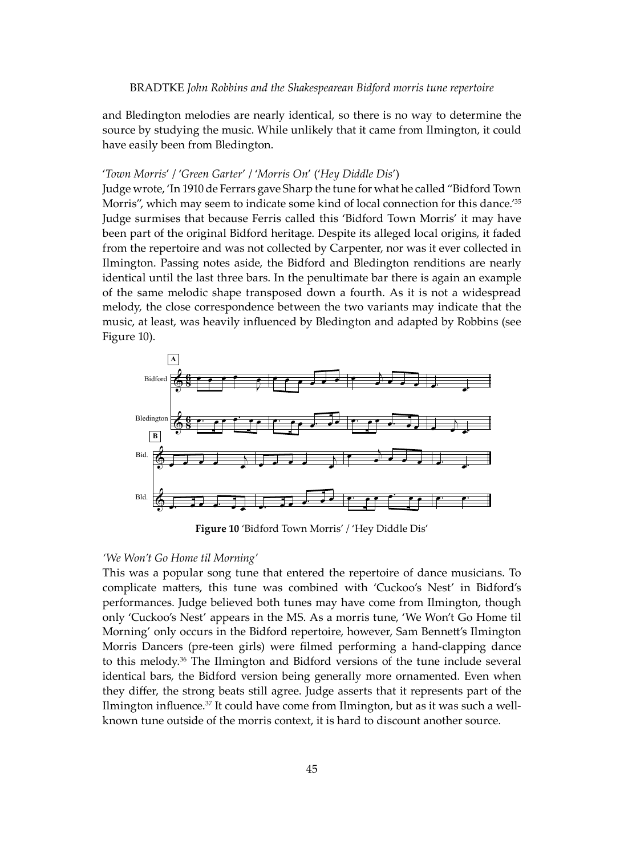and Bledington melodies are nearly identical, so there is no way to determine the source by studying the music. While unlikely that it came from Ilmington, it could have easily been from Bledington.

## '*Town Morris*' / '*Green Garter*' / '*Morris On*' ('*Hey Diddle Dis*')

Judge wrote, 'In 1910 de Ferrars gave Sharp the tune for what he called "Bidford Town Morris", which may seem to indicate some kind of local connection for this dance.<sup>'35</sup> Judge surmises that because Ferris called this 'Bidford Town Morris' it may have been part of the original Bidford heritage. Despite its alleged local origins, it faded from the repertoire and was not collected by Carpenter, nor was it ever collected in Ilmington. Passing notes aside, the Bidford and Bledington renditions are nearly identical until the last three bars. In the penultimate bar there is again an example of the same melodic shape transposed down a fourth. As it is not a widespread melody, the close correspondence between the two variants may indicate that the music, at least, was heavily influenced by Bledington and adapted by Robbins (see Figure 10).



**Figure 10** 'Bidford Town Morris' / 'Hey Diddle Dis'

## *'We Won't Go Home til Morning'*

This was a popular song tune that entered the repertoire of dance musicians. To complicate ma�ers, this tune was combined with 'Cuckoo's Nest' in Bidford's performances. Judge believed both tunes may have come from Ilmington, though only 'Cuckoo's Nest' appears in the MS. As a morris tune, 'We Won't Go Home til Morning' only occurs in the Bidford repertoire, however, Sam Benne�'s Ilmington Morris Dancers (pre-teen girls) were filmed performing a hand-clapping dance to this melody.36 The Ilmington and Bidford versions of the tune include several identical bars, the Bidford version being generally more ornamented. Even when they differ, the strong beats still agree. Judge asserts that it represents part of the Ilmington influence.<sup>37</sup> It could have come from Ilmington, but as it was such a wellknown tune outside of the morris context, it is hard to discount another source.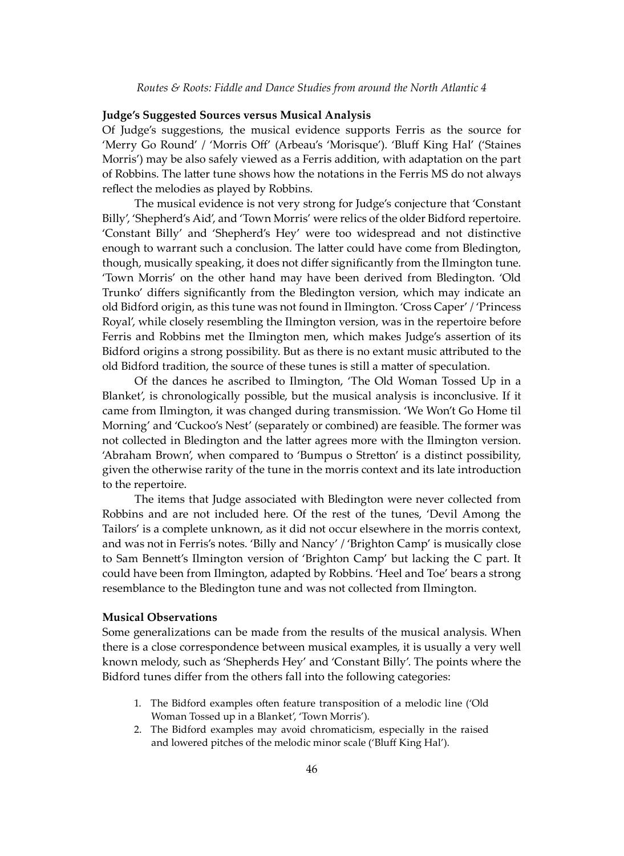#### **Judge's Suggested Sources versus Musical Analysis**

Of Judge's suggestions, the musical evidence supports Ferris as the source for 'Merry Go Round' / 'Morris Off' (Arbeau's 'Morisque'). 'Bluff King Hal' ('Staines Morris') may be also safely viewed as a Ferris addition, with adaptation on the part of Robbins. The latter tune shows how the notations in the Ferris MS do not always reflect the melodies as played by Robbins.

The musical evidence is not very strong for Judge's conjecture that 'Constant Billy', 'Shepherd's Aid', and 'Town Morris' were relics of the older Bidford repertoire. 'Constant Billy' and 'Shepherd's Hey' were too widespread and not distinctive enough to warrant such a conclusion. The latter could have come from Bledington, though, musically speaking, it does not differ significantly from the Ilmington tune. 'Town Morris' on the other hand may have been derived from Bledington. 'Old Trunko' differs significantly from the Bledington version, which may indicate an old Bidford origin, as this tune was not found in Ilmington. 'Cross Caper' / 'Princess Royal', while closely resembling the Ilmington version, was in the repertoire before Ferris and Robbins met the Ilmington men, which makes Judge's assertion of its Bidford origins a strong possibility. But as there is no extant music a�ributed to the old Bidford tradition, the source of these tunes is still a matter of speculation.

Of the dances he ascribed to Ilmington, 'The Old Woman Tossed Up in a Blanket', is chronologically possible, but the musical analysis is inconclusive. If it came from Ilmington, it was changed during transmission. 'We Won't Go Home til Morning' and 'Cuckoo's Nest' (separately or combined) are feasible. The former was not collected in Bledington and the latter agrees more with the Ilmington version. 'Abraham Brown', when compared to 'Bumpus o Stretton' is a distinct possibility, given the otherwise rarity of the tune in the morris context and its late introduction to the repertoire.

The items that Judge associated with Bledington were never collected from Robbins and are not included here. Of the rest of the tunes, 'Devil Among the Tailors' is a complete unknown, as it did not occur elsewhere in the morris context, and was not in Ferris's notes. 'Billy and Nancy' / 'Brighton Camp' is musically close to Sam Benne�'s Ilmington version of 'Brighton Camp' but lacking the C part. It could have been from Ilmington, adapted by Robbins. 'Heel and Toe' bears a strong resemblance to the Bledington tune and was not collected from Ilmington.

#### **Musical Observations**

Some generalizations can be made from the results of the musical analysis. When there is a close correspondence between musical examples, it is usually a very well known melody, such as 'Shepherds Hey' and 'Constant Billy'. The points where the Bidford tunes differ from the others fall into the following categories:

- 1. The Bidford examples often feature transposition of a melodic line ('Old Woman Tossed up in a Blanket', 'Town Morris').
- 2. The Bidford examples may avoid chromaticism, especially in the raised and lowered pitches of the melodic minor scale ('Bluff King Hal').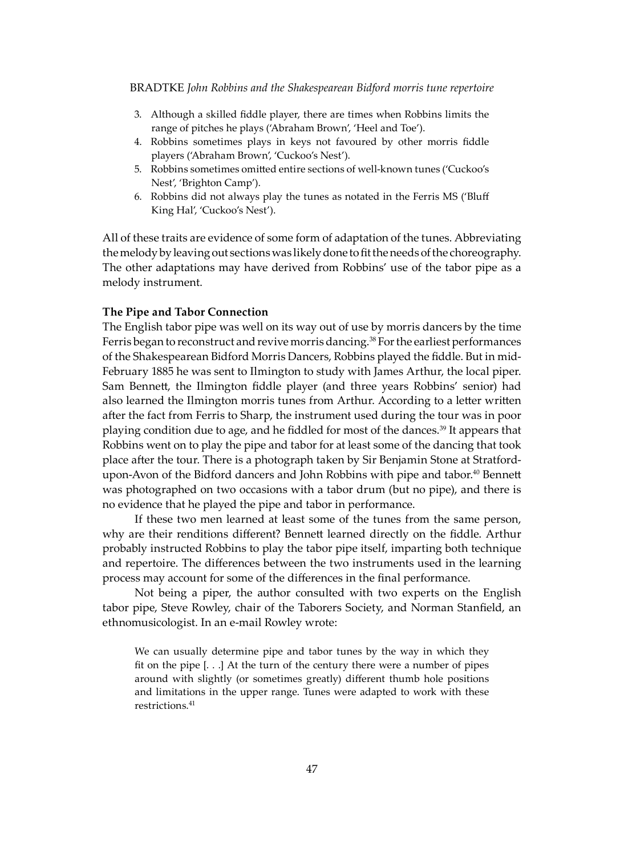- 3. Although a skilled fiddle player, there are times when Robbins limits the range of pitches he plays ('Abraham Brown', 'Heel and Toe').
- 4. Robbins sometimes plays in keys not favoured by other morris fiddle players ('Abraham Brown', 'Cuckoo's Nest').
- 5. Robbins sometimes omitted entire sections of well-known tunes ('Cuckoo's Nest', 'Brighton Camp').
- 6. Robbins did not always play the tunes as notated in the Ferris MS ('Bluff King Hal', 'Cuckoo's Nest').

All of these traits are evidence of some form of adaptation of the tunes. Abbreviating the melody by leaving out sections was likely done to fit the needs of the choreography. The other adaptations may have derived from Robbins' use of the tabor pipe as a melody instrument.

## **The Pipe and Tabor Connection**

The English tabor pipe was well on its way out of use by morris dancers by the time Ferris began to reconstruct and revive morris dancing.<sup>38</sup> For the earliest performances of the Shakespearean Bidford Morris Dancers, Robbins played the fiddle. But in mid-February 1885 he was sent to Ilmington to study with James Arthur, the local piper. Sam Bennett, the Ilmington fiddle player (and three years Robbins' senior) had also learned the Ilmington morris tunes from Arthur. According to a letter written a�er the fact from Ferris to Sharp, the instrument used during the tour was in poor playing condition due to age, and he fiddled for most of the dances.39 It appears that Robbins went on to play the pipe and tabor for at least some of the dancing that took place a�er the tour. There is a photograph taken by Sir Benjamin Stone at Stratfordupon-Avon of the Bidford dancers and John Robbins with pipe and tabor.<sup>40</sup> Bennett was photographed on two occasions with a tabor drum (but no pipe), and there is no evidence that he played the pipe and tabor in performance.

If these two men learned at least some of the tunes from the same person, why are their renditions different? Bennett learned directly on the fiddle. Arthur probably instructed Robbins to play the tabor pipe itself, imparting both technique and repertoire. The differences between the two instruments used in the learning process may account for some of the differences in the final performance.

Not being a piper, the author consulted with two experts on the English tabor pipe, Steve Rowley, chair of the Taborers Society, and Norman Stanfield, an ethnomusicologist. In an e-mail Rowley wrote:

We can usually determine pipe and tabor tunes by the way in which they fit on the pipe [. . .] At the turn of the century there were a number of pipes around with slightly (or sometimes greatly) different thumb hole positions and limitations in the upper range. Tunes were adapted to work with these restrictions.41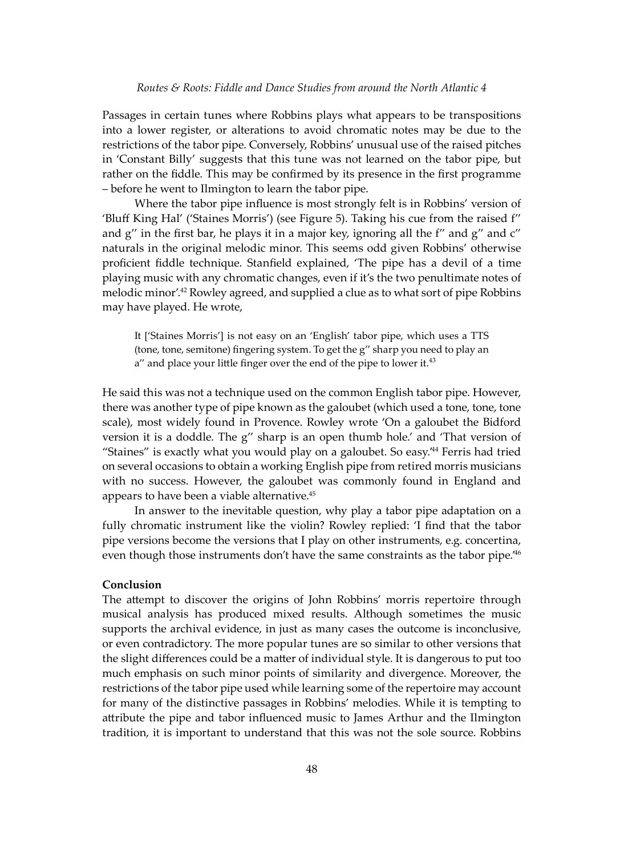Passages in certain tunes where Robbins plays what appears to be transpositions into a lower register, or alterations to avoid chromatic notes may be due to the restrictions of the tabor pipe. Conversely, Robbins' unusual use of the raised pitches in 'Constant Billy' suggests that this tune was not learned on the tabor pipe, but rather on the fiddle. This may be confirmed by its presence in the first programme – before he went to Ilmington to learn the tabor pipe.

Where the tabor pipe influence is most strongly felt is in Robbins' version of 'Bluff King Hal' ('Staines Morris') (see Figure 5). Taking his cue from the raised f'' and g" in the first bar, he plays it in a major key, ignoring all the f" and g" and c" naturals in the original melodic minor. This seems odd given Robbins' otherwise proficient fiddle technique. Stanfield explained, 'The pipe has a devil of a time playing music with any chromatic changes, even if it's the two penultimate notes of melodic minor'.42 Rowley agreed, and supplied a clue as to what sort of pipe Robbins may have played. He wrote,

It ['Staines Morris'] is not easy on an 'English' tabor pipe, which uses a TTS (tone, tone, semitone) fingering system. To get the g'' sharp you need to play an  $a''$  and place your little finger over the end of the pipe to lower it.<sup>43</sup>

He said this was not a technique used on the common English tabor pipe. However, there was another type of pipe known as the galoubet (which used a tone, tone, tone scale), most widely found in Provence. Rowley wrote 'On a galoubet the Bidford version it is a doddle. The g'' sharp is an open thumb hole.' and 'That version of "Staines" is exactly what you would play on a galoubet. So easy.'44 Ferris had tried on several occasions to obtain a working English pipe from retired morris musicians with no success. However, the galoubet was commonly found in England and appears to have been a viable alternative.45

In answer to the inevitable question, why play a tabor pipe adaptation on a fully chromatic instrument like the violin? Rowley replied: 'I find that the tabor pipe versions become the versions that I play on other instruments, e.g. concertina, even though those instruments don't have the same constraints as the tabor pipe.'46

#### **Conclusion**

The attempt to discover the origins of John Robbins' morris repertoire through musical analysis has produced mixed results. Although sometimes the music supports the archival evidence, in just as many cases the outcome is inconclusive, or even contradictory. The more popular tunes are so similar to other versions that the slight differences could be a ma�er of individual style. It is dangerous to put too much emphasis on such minor points of similarity and divergence. Moreover, the restrictions of the tabor pipe used while learning some of the repertoire may account for many of the distinctive passages in Robbins' melodies. While it is tempting to a�ribute the pipe and tabor influenced music to James Arthur and the Ilmington tradition, it is important to understand that this was not the sole source. Robbins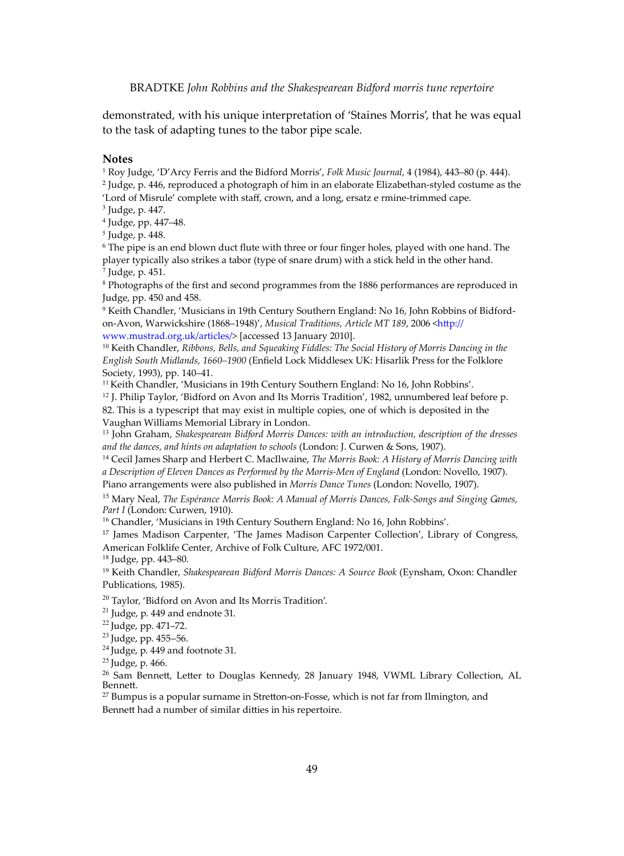demonstrated, with his unique interpretation of 'Staines Morris', that he was equal to the task of adapting tunes to the tabor pipe scale.

**Notes**

1 Roy Judge, 'D'Arcy Ferris and the Bidford Morris', *Folk Music Journal*, 4 (1984), 443–80 (p. 444).

2 Judge, p. 446, reproduced a photograph of him in an elaborate Elizabethan-styled costume as the 'Lord of Misrule' complete with staff, crown, and a long, ersatz e rmine-trimmed cape.

3 Judge, p. 447.

4 Judge, pp. 447–48.

5 Judge, p. 448.

6 The pipe is an end blown duct flute with three or four finger holes, played with one hand. The player typically also strikes a tabor (type of snare drum) with a stick held in the other hand. 7 Judge, p. 451.

8 Photographs of the first and second programmes from the 1886 performances are reproduced in Judge, pp. 450 and 458.

9 Keith Chandler, 'Musicians in 19th Century Southern England: No 16, John Robbins of Bidfordon-Avon, Warwickshire (1868-1948)', *Musical Traditions, Article MT 189*, 2006 <http:// www.mustrad.org.uk/articles/> [accessed 13 January 2010].

<sup>10</sup> Keith Chandler, *Ribbons, Bells, and Squeaking Fiddles: The Social History of Morris Dancing in the English South Midlands, 1660–1900* (Enfield Lock Middlesex UK: Hisarlik Press for the Folklore Society, 1993), pp. 140–41.

<sup>11</sup> Keith Chandler, 'Musicians in 19th Century Southern England: No 16, John Robbins'.

<sup>12</sup> J. Philip Taylor, 'Bidford on Avon and Its Morris Tradition', 1982, unnumbered leaf before p.

82. This is a typescript that may exist in multiple copies, one of which is deposited in the Vaughan Williams Memorial Library in London.

<sup>13</sup> John Graham, *Shakespearean Bidford Morris Dances: with an introduction, description of the dresses and the dances, and hints on adaptation to schools* (London: J. Curwen & Sons, 1907).

<sup>14</sup> Cecil James Sharp and Herbert C. MacIlwaine, *The Morris Book: A History of Morris Dancing with a Description of Eleven Dances as Performed by the Morris-Men of England* (London: Novello, 1907).

Piano arrangements were also published in *Morris Dance Tunes* (London: Novello, 1907).

<sup>15</sup> Mary Neal, *The Espérance Morris Book: A Manual of Morris Dances, Folk-Songs and Singing Games, Part I* (London: Curwen, 1910).

<sup>16</sup> Chandler, 'Musicians in 19th Century Southern England: No 16, John Robbins'.

<sup>17</sup> James Madison Carpenter, 'The James Madison Carpenter Collection', Library of Congress, American Folklife Center, Archive of Folk Culture, AFC 1972/001.

<sup>18</sup> Judge, pp. 443–80.

<sup>19</sup> Keith Chandler, *Shakespearean Bidford Morris Dances: A Source Book* (Eynsham, Oxon: Chandler Publications, 1985).

<sup>20</sup> Taylor, 'Bidford on Avon and Its Morris Tradition'.

 $21$  Judge, p. 449 and endnote 31.

<sup>22</sup>Judge, pp. 471–72.

<sup>23</sup> Judge, pp. 455-56.

 $24$  Judge, p. 449 and footnote 31.

 $25$  Judge, p. 466.

<sup>26</sup> Sam Bennett, Letter to Douglas Kennedy, 28 January 1948, VWML Library Collection, AL Benne�.

 $27$  Bumpus is a popular surname in Stretton-on-Fosse, which is not far from Ilmington, and

Bennett had a number of similar ditties in his repertoire.